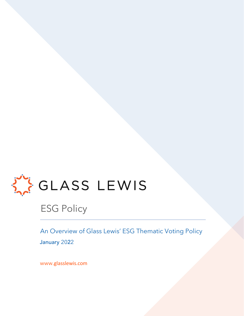

### ESG Policy

An Overview of Glass Lewis' ESG Thematic Voting Policy January 2022

www.glasslewis.com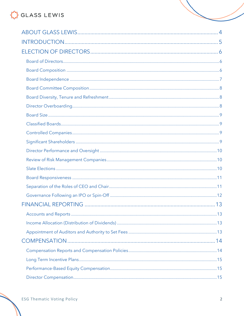## GLASS LEWIS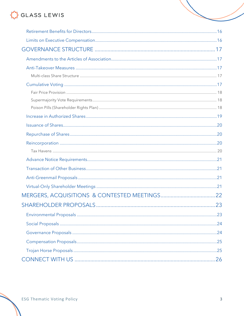## GLASS LEWIS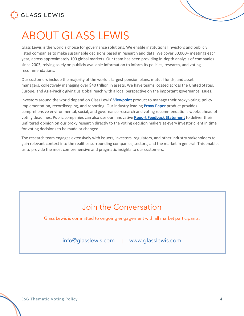

## <span id="page-3-0"></span>ABOUT GLASS LEWIS

Glass Lewis is the world's choice for governance solutions. We enable institutional investors and publicly listed companies to make sustainable decisions based in research and data. We cover 30,000+ meetings each year, across approximately 100 global markets. Our team has been providing in-depth analysis of companies since 2003, relying solely on publicly available information to inform its policies, research, and voting recommendations.

Our customers include the majority of the world's largest pension plans, mutual funds, and asset managers, collectively managing over \$40 trillion in assets. We have teams located across the United States, Europe, and Asia-Pacific giving us global reach with a local perspective on the important governance issues.

investors around the world depend on Glass Lewis' **[Viewpoint](https://www.glasslewis.com/proxy-voting-2/)** product to manage their proxy voting, policy implementation, recordkeeping, and reporting. Our industry leading **[Proxy Paper](https://www.glasslewis.com/proxy-research-3/)** product provides comprehensive environmental, social, and governance research and voting recommendations weeks ahead of voting deadlines. Public companies can also use our innovative **[Report Feedback Statement](https://www.glasslewis.com/report-feedback-statement/)** to deliver their unfiltered opinion on our proxy research directly to the voting decision makers at every investor client in time for voting decisions to be made or changed.

The research team engages extensively with issuers, investors, regulators, and other industry stakeholders to gain relevant context into the realities surrounding companies, sectors, and the market in general. This enables us to provide the most comprehensive and pragmatic insights to our customers.

### Join the Conversation

Glass Lewis is committed to ongoing engagement with all market participants.

[info@glasslewis.com](mailto:info@glasslewis.com) | [www.glasslewis.com](http://www.glasslewis.com/)

ESG Thematic Voting Policy 4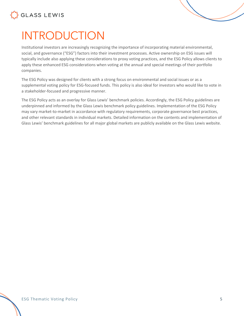

<span id="page-4-0"></span>

Institutional investors are increasingly recognizing the importance of incorporating material environmental, social, and governance ("ESG") factors into their investment processes. Active ownership on ESG issues will typically include also applying these considerations to proxy voting practices, and the ESG Policy allows clients to apply these enhanced ESG considerations when voting at the annual and special meetings of their portfolio companies.

The ESG Policy was designed for clients with a strong focus on environmental and social issues or as a supplemental voting policy for ESG-focused funds. This policy is also ideal for investors who would like to vote in a stakeholder-focused and progressive manner.

The ESG Policy acts as an overlay for Glass Lewis' benchmark policies. Accordingly, the ESG Policy guidelines are underpinned and informed by the Glass Lewis benchmark policy guidelines. Implementation of the ESG Policy may vary market-to-market in accordance with regulatory requirements, corporate governance best practices, and other relevant standards in individual markets. Detailed information on the contents and implementation of Glass Lewis' benchmark guidelines for all major global markets are publicly available on the Glass Lewis website.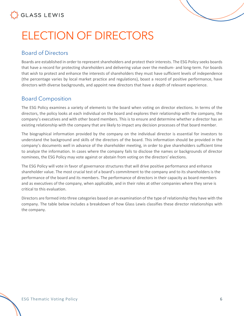

# <span id="page-5-0"></span>ELECTION OF DIRECTORS

#### <span id="page-5-1"></span>Board of Directors

Boards are established in order to represent shareholders and protect their interests. The ESG Policy seeks boards that have a record for protecting shareholders and delivering value over the medium- and long-term. For boards that wish to protect and enhance the interests of shareholders they must have sufficient levels of independence (the percentage varies by local market practice and regulations), boast a record of positive performance, have directors with diverse backgrounds, and appoint new directors that have a depth of relevant experience.

#### <span id="page-5-2"></span>Board Composition

The ESG Policy examines a variety of elements to the board when voting on director elections. In terms of the directors, the policy looks at each individual on the board and explores their relationship with the company, the company's executives and with other board members. This is to ensure and determine whether a director has an existing relationship with the company that are likely to impact any decision processes of that board member.

The biographical information provided by the company on the individual director is essential for investors to understand the background and skills of the directors of the board. This information should be provided in the company's documents well in advance of the shareholder meeting, in order to give shareholders sufficient time to analyze the information. In cases where the company fails to disclose the names or backgrounds of director nominees, the ESG Policy may vote against or abstain from voting on the directors' elections.

The ESG Policy will vote in favor of governance structures that will drive positive performance and enhance shareholder value. The most crucial test of a board's commitment to the company and to its shareholders is the performance of the board and its members. The performance of directors in their capacity as board members and as executives of the company, when applicable, and in their roles at other companies where they serve is critical to this evaluation.

Directors are formed into three categories based on an examination of the type of relationship they have with the company. The table below includes a breakdown of how Glass Lewis classifies these director relationships with the company.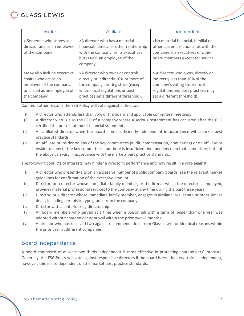

| Insider                                                                                                                         | Affiliate                                                                                                                                                                                    | Independent                                                                                                                                                                |
|---------------------------------------------------------------------------------------------------------------------------------|----------------------------------------------------------------------------------------------------------------------------------------------------------------------------------------------|----------------------------------------------------------------------------------------------------------------------------------------------------------------------------|
| > Someone who serves as a<br>director and as an employee<br>of the Company                                                      | >A director who has a material<br>financial, familial or other relationship<br>with the company, or its executives,<br>but is NOT an employee of the<br>company                              | >No material financial, familial or<br>other current relationships with the<br>company, it's executives or other<br>board members except for service                       |
| >May also include executive<br>chairs (who act as an<br>employee of the company<br>or is paid as an employee of<br>the company) | >A director who owns or controls,<br>directly or indirectly 10% or more of<br>the company's voting stock (except<br>where local regulations or best<br>practices set a different threshold). | > A director who owns, directly or<br>indirectly less than 10% of the<br>company's voting stock (local<br>regulations and best practices may<br>set a different threshold) |

Common other reasons the ESG Policy will vote against a director:

- (i) A director who attends less than 75% of the board and applicable committee meetings.
- (ii) A director who is also the CEO of a company where a serious restatement has occurred after the CEO certified the pre-restatement financial statements.
- (iii) An affiliated director when the board is not sufficiently independent in accordance with market best practice standards.
- (iv) An affiliate or insider on any of the key committees (audit, compensation, nominating) or an affiliate or insider on any of the key committees and there is insufficient independence on that committee, both of the above can vary in accordance with the markets best practice standards.

The following conflicts of interests may hinder a director's performance and may result in a vote against:

- (i) A director who presently sits on an excessive number of public company boards (see the relevant market guidelines for confirmation of the excessive amount).
- (ii) Director, or a director whose immediate family member, or the firm at which the director is employed, provides material professional services to the company at any time during the past three years.
- (iii) Director, or a director whose immediate family member, engages in airplane, real estate or other similar deals, including perquisite type grants from the company.
- (iv) Director with an interlocking directorship.
- (v) All board members who served at a time when a poison pill with a term of longer than one year was adopted without shareholder approval within the prior twelve months.
- (vi) A director who has received two against recommendations from Glass Lewis for identical reasons within the prior year at different companies.

#### <span id="page-6-0"></span>Board Independence

A board composed of at least two-thirds independent is most effective in protecting shareholders' interests. Generally, the ESG Policy will vote against responsible directors if the board is less than two-thirds independent, however, this is also dependent on the market best practice standards.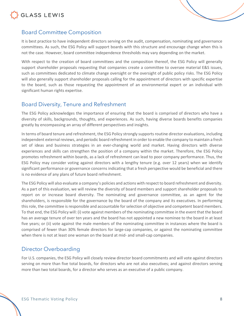

<span id="page-7-0"></span>

It is best practice to have independent directors serving on the audit, compensation, nominating and governance committees. As such, the ESG Policy will support boards with this structure and encourage change when this is not the case. However, board committee independence thresholds may vary depending on the market.

With respect to the creation of board committees and the composition thereof, the ESG Policy will generally support shareholder proposals requesting that companies create a committee to oversee material E&S issues, such as committees dedicated to climate change oversight or the oversight of public policy risks. The ESG Policy will also generally support shareholder proposals calling for the appointment of directors with specific expertise to the board, such as those requesting the appointment of an environmental expert or an individual with significant human rights expertise.

#### <span id="page-7-1"></span>Board Diversity, Tenure and Refreshment

The ESG Policy acknowledges the importance of ensuring that the board is comprised of directors who have a diversity of skills, backgrounds, thoughts, and experiences. As such, having diverse boards benefits companies greatly by encompassing an array of different perspectives and insights.

In terms of board tenure and refreshment, the ESG Policy strongly supports routine director evaluations, including independent external reviews, and periodic board refreshment in order to enable the company to maintain a fresh set of ideas and business strategies in an ever-changing world and market. Having directors with diverse experiences and skills can strengthen the position of a company within the market. Therefore, the ESG Policy promotes refreshment within boards, as a lack of refreshment can lead to poor company performance. Thus, the ESG Policy may consider voting against directors with a lengthy tenure (e.g. over 12 years) when we identify significant performance or governance concerns indicating that a fresh perspective would be beneficial and there is no evidence of any plans of future board refreshment.

The ESG Policy will also evaluate a company's policies and actions with respect to board refreshment and diversity. As a part of this evaluation, we will review the diversity of board members and support shareholder proposals to report on or increase board diversity. The nominating and governance committee, as an agent for the shareholders, is responsible for the governance by the board of the company and its executives. In performing this role, the committee is responsible and accountable for selection of objective and competent board members. To that end, the ESG Policy will: (i) vote against members of the nominating committee in the event that the board has an average tenure of over ten years and the board has not appointed a new nominee to the board in at least five years; or (ii) vote against the male members of the nominating committee in instances where the board is comprised of fewer than 30% female directors for large-cap companies, or against the nominating committee when there is not at least one woman on the board at mid- and small-cap companies.

#### <span id="page-7-2"></span>Director Overboarding

For U.S. companies, the ESG Policy will closely review director board commitments and will vote against directors serving on more than five total boards, for directors who are not also executives; and against directors serving more than two total boards, for a director who serves as an executive of a public company.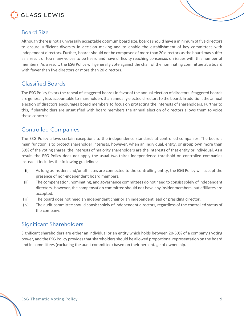

#### <span id="page-8-0"></span>Board Size

Although there is not a universally acceptable optimum board size, boards should have a minimum of five directors to ensure sufficient diversity in decision making and to enable the establishment of key committees with independent directors. Further, boards should not be composed of more than 20 directors as the board may suffer as a result of too many voices to be heard and have difficulty reaching consensus on issues with this number of members. As a result, the ESG Policy will generally vote against the chair of the nominating committee at a board with fewer than five directors or more than 20 directors.

#### <span id="page-8-1"></span>Classified Boards

The ESG Policy favors the repeal of staggered boards in favor of the annual election of directors. Staggered boards are generally less accountable to shareholders than annually elected directors to the board. In addition, the annual election of directors encourages board members to focus on protecting the interests of shareholders. Further to this, if shareholders are unsatisfied with board members the annual election of directors allows them to voice these concerns.

#### <span id="page-8-2"></span>Controlled Companies

The ESG Policy allows certain exceptions to the independence standards at controlled companies. The board's main function is to protect shareholder interests, however, when an individual, entity, or group own more than 50% of the voting shares, the interests of majority shareholders are the interests of that entity or individual. As a result, the ESG Policy does not apply the usual two-thirds independence threshold on controlled companies instead it includes the following guidelines:

- (i) As long as insiders and/or affiliates are connected to the controlling entity, the ESG Policy will accept the presence of non-independent board members.
- (ii) The compensation, nominating, and governance committees do not need to consist solely of independent directors. However, the compensation committee should not have any insider members, but affiliates are accepted.
- (iii) The board does not need an independent chair or an independent lead or presiding director.
- (iv) The audit committee should consist solely of independent directors, regardless of the controlled status of the company.

#### <span id="page-8-3"></span>Significant Shareholders

Significant shareholders are either an individual or an entity which holds between 20-50% of a company's voting power, and the ESG Policy provides that shareholders should be allowed proportional representation on the board and in committees (excluding the audit committee) based on their percentage of ownership.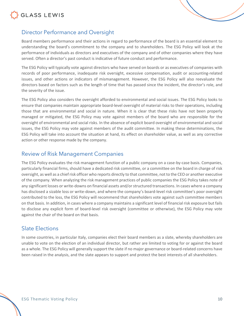



#### <span id="page-9-0"></span>Director Performance and Oversight

Board members performance and their actions in regard to performance of the board is an essential element to understanding the board's commitment to the company and to shareholders. The ESG Policy will look at the performance of individuals as directors and executives of the company and of other companies where they have served. Often a director's past conduct is indicative of future conduct and performance.

The ESG Policy will typically vote against directors who have served on boards or as executives of companies with records of poor performance, inadequate risk oversight, excessive compensation, audit or accounting-related issues, and other actions or indicators of mismanagement. However, the ESG Policy will also reevaluate the directors based on factors such as the length of time that has passed since the incident, the director's role, and the severity of the issue.

The ESG Policy also considers the oversight afforded to environmental and social issues. The ESG Policy looks to ensure that companies maintain appropriate board-level oversight of material risks to their operations, including those that are environmental and social in nature. When it is clear that these risks have not been properly managed or mitigated, the ESG Policy may vote against members of the board who are responsible for the oversight of environmental and social risks. In the absence of explicit board oversight of environmental and social issues, the ESG Policy may vote against members of the audit committee. In making these determinations, the ESG Policy will take into account the situation at hand, its effect on shareholder value, as well as any corrective action or other response made by the company.

#### <span id="page-9-1"></span>Review of Risk Management Companies

The ESG Policy evaluates the risk management function of a public company on a case-by-case basis. Companies, particularly financial firms, should have a dedicated risk committee, or a committee on the board in charge of risk oversight, as well as a chief risk officer who reports directly to that committee, not to the CEO or another executive of the company. When analyzing the risk management practices of public companies the ESG Policy takes note of any significant losses or write-downs on financial assets and/or structured transactions. In cases where a company has disclosed a sizable loss or write-down, and where the company's board-level risk committee's poor oversight contributed to the loss, the ESG Policy will recommend that shareholders vote against such committee members on that basis. In addition, in cases where a company maintains a significant level of financial risk exposure but fails to disclose any explicit form of board-level risk oversight (committee or otherwise), the ESG Policy may vote against the chair of the board on that basis.

#### <span id="page-9-2"></span>Slate Elections

In some countries, in particular Italy, companies elect their board members as a slate, whereby shareholders are unable to vote on the election of an individual director, but rather are limited to voting for or against the board as a whole. The ESG Policy will generally support the slate if no major governance or board-related concerns have been raised in the analysis, and the slate appears to support and protect the best interests of all shareholders.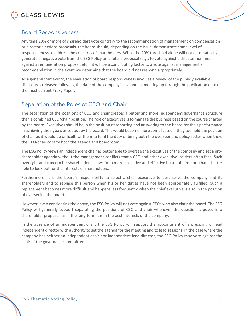

#### <span id="page-10-0"></span>Board Responsiveness

Any time 20% or more of shareholders vote contrary to the recommendation of management on compensation or director elections proposals, the board should, depending on the issue, demonstrate some level of responsiveness to address the concerns of shareholders. While the 20% threshold alone will not automatically generate a negative vote from the ESG Policy on a future proposal (e.g., to vote against a director nominee, against a remuneration proposal, etc.), it will be a contributing factor to a vote against management's recommendation in the event we determine that the board did not respond appropriately.

As a general framework, the evaluation of board responsiveness involves a review of the publicly available disclosures released following the date of the company's last annual meeting up through the publication date of the most current Proxy Paper.

#### <span id="page-10-1"></span>Separation of the Roles of CEO and Chair

The separation of the positions of CEO and chair creates a better and more independent governance structure than a combined CEO/chair position. The role of executives is to manage the business based on the course charted by the board. Executives should be in the position of reporting and answering to the board for their performance in achieving their goals as set out by the board. This would become more complicated if they too held the position of chair as it would be difficult for them to fulfil the duty of being both the overseer and policy setter when they, the CEO/chair control both the agenda and boardroom.

The ESG Policy views an independent chair as better able to oversee the executives of the company and set a proshareholder agenda without the management conflicts that a CEO and other executive insiders often face. Such oversight and concern for shareholders allows for a more proactive and effective board of directors that is better able to look out for the interests of shareholders.

Furthermore, it is the board's responsibility to select a chief executive to best serve the company and its shareholders and to replace this person when his or her duties have not been appropriately fulfilled. Such a replacement becomes more difficult and happens less frequently when the chief executive is also in the position of overseeing the board.

However, even considering the above, the ESG Policy will not vote against CEOs who also chair the board. The ESG Policy will generally support separating the positions of CEO and chair whenever the question is posed in a shareholder proposal, as in the long-term it is in the best interests of the company.

In the absence of an independent chair, the ESG Policy will support the appointment of a presiding or lead independent director with authority to set the agenda for the meeting and to lead sessions. In the case where the company has neither an independent chair nor independent lead director, the ESG Policy may vote against the chair of the governance committee.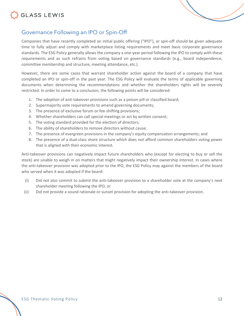



#### <span id="page-11-0"></span>Governance Following an IPO or Spin-Off

Companies that have recently completed an initial public offering ("IPO"), or spin-off should be given adequate time to fully adjust and comply with marketplace listing requirements and meet basic corporate governance standards. The ESG Policy generally allows the company a one-year period following the IPO to comply with these requirements and as such refrains from voting based on governance standards (e.g., board independence, committee membership and structure, meeting attendance, etc.).

However, there are some cases that warrant shareholder action against the board of a company that have completed an IPO or spin-off in the past year. The ESG Policy will evaluate the terms of applicable governing documents when determining the recommendations and whether the shareholders rights will be severely restricted. In order to come to a conclusion, the following points will be considered:

- 1. The adoption of anti-takeover provisions such as a poison pill or classified board;
- 2. Supermajority vote requirements to amend governing documents;
- 3. The presence of exclusive forum or fee-shifting provisions;
- 4. Whether shareholders can call special meetings or act by written consent;
- 5. The voting standard provided for the election of directors;
- 6. The ability of shareholders to remove directors without cause;
- 7. The presence of evergreen provisions in the company's equity compensation arrangements; and
- 8. The presence of a dual-class share structure which does not afford common shareholders voting power that is aligned with their economic interest.

Anti-takeover provisions can negatively impact future shareholders who (except for electing to buy or sell the stock) are unable to weigh in on matters that might negatively impact their ownership interest. In cases where the anti-takeover provision was adopted prior to the IPO, the ESG Policy may against the members of the board who served when it was adopted if the board:

- (i) Did not also commit to submit the anti-takeover provision to a shareholder vote at the company's next shareholder meeting following the IPO; or
- (ii) Did not provide a sound rationale or sunset provision for adopting the anti-takeover provision.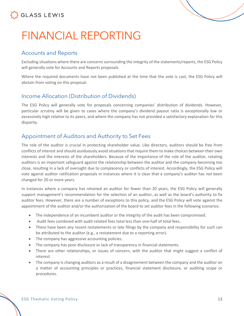

## <span id="page-12-0"></span>FINANCIAL REPORTING

#### <span id="page-12-1"></span>Accounts and Reports

Excluding situations where there are concerns surrounding the integrity of the statements/reports, the ESG Policy will generally vote for Accounts and Reports proposals.

Where the required documents have not been published at the time that the vote is cast, the ESG Policy will abstain from voting on this proposal.

#### <span id="page-12-2"></span>Income Allocation (Distribution of Dividends)

The ESG Policy will generally vote for proposals concerning companies' distribution of dividends. However, particular scrutiny will be given to cases where the company's dividend payout ratio is exceptionally low or excessively high relative to its peers, and where the company has not provided a satisfactory explanation for this disparity.

#### <span id="page-12-3"></span>Appointment of Auditors and Authority to Set Fees

The role of the auditor is crucial in protecting shareholder value. Like directors, auditors should be free from conflicts of interest and should assiduously avoid situations that require them to make choices between their own interests and the interests of the shareholders. Because of the importance of the role of the auditor, rotating auditors is an important safeguard against the relationship between the auditor and the company becoming too close, resulting in a lack of oversight due to complacency or conflicts of interest. Accordingly, the ESG Policy will vote against auditor ratification proposals in instances where it is clear that a company's auditor has not been changed for 20 or more years.

In instances where a company has retained an auditor for fewer than 20 years, the ESG Policy will generally support management's recommendation for the selection of an auditor, as well as the board's authority to fix auditor fees. However, there are a number of exceptions to this policy, and the ESG Policy will vote against the appointment of the auditor and/or the authorization of the board to set auditor fees in the following scenarios:

- The independence of an incumbent auditor or the integrity of the audit has been compromised.
- Audit fees combined with audit-related fees total less than one-half of total fees.
- There have been any recent restatements or late filings by the company and responsibility for such can be attributed to the auditor (e.g., a restatement due to a reporting error).
- The company has aggressive accounting policies.
- The company has poor disclosure or lack of transparency in financial statements.
- There are other relationships, or issues of concern, with the auditor that might suggest a conflict of interest.
- The company is changing auditors as a result of a disagreement between the company and the auditor on a matter of accounting principles or practices, financial statement disclosure, or auditing scope or procedures.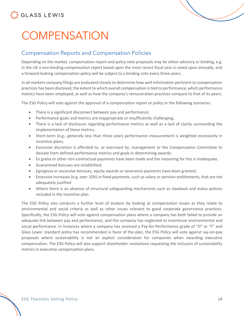

# <span id="page-13-0"></span>**COMPENSATION**

#### <span id="page-13-1"></span>Compensation Reports and Compensation Policies

Depending on the market, compensation report and policy vote proposals may be either advisory or binding, e.g. in the UK a non-binding compensation report based upon the most recent fiscal year is voted upon annually, and a forward-looking compensation policy will be subject to a binding vote every three years.

In all markets company filings are evaluated closely to determine how well information pertinent to compensation practices has been disclosed, the extent to which overall compensation is tied to performance, which performance metrics have been employed, as well as how the company's remuneration practices compare to that of its peers.

The ESG Policy will vote against the approval of a compensation report or policy in the following scenarios:

- There is a significant disconnect between pay and performance;
- Performance goals and metrics are inappropriate or insufficiently challenging;
- There is a lack of disclosure regarding performance metrics as well as a lack of clarity surrounding the implementation of these metrics.
- Short-term (e.g., generally less than three year) performance measurement is weighted excessively in incentive plans;
- Excessive discretion is afforded to, or exercised by, management or the Compensation Committee to deviate from defined performance metrics and goals in determining awards;
- Ex gratia or other non-contractual payments have been made and the reasoning for this is inadequate.
- Guaranteed bonuses are established;
- Egregious or excessive bonuses, equity awards or severance payments have been granted;
- Excessive increases (e.g. over 10%) in fixed payments, such as salary or pension entitlements, that are not adequately justified
- Where there is an absence of structural safeguarding mechanisms such as clawback and malus policies included in the Incentive plan.

The ESG Policy also conducts a further level of analysis by looking at compensation issues as they relate to environmental and social criteria as well as other issues relevant to good corporate governance practices. Specifically, the ESG Policy will vote against compensation plans where a company has both failed to provide an adequate link between pay and performance, and the company has neglected to incentivize environmental and social performance. In instances where a company has received a Pay-for-Performance grade of "D" or "F" and Glass Lewis' standard policy has recommended in favor of the plan, the ESG Policy will vote against say-on-pay proposals where sustainability is not an explicit consideration for companies when awarding executive compensation. The ESG Policy will also support shareholder resolutions requesting the inclusion of sustainability metrics in executive compensation plans.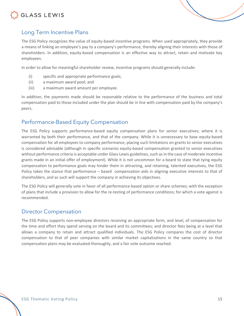### GLASS LEWIS



### <span id="page-14-0"></span>Long Term Incentive Plans

The ESG Policy recognizes the value of equity-based incentive programs. When used appropriately, they provide a means of linking an employee's pay to a company's performance, thereby aligning their interests with those of shareholders. In addition, equity-based compensation is an effective way to attract, retain and motivate key employees.

In order to allow for meaningful shareholder review, incentive programs should generally include:

- (i) specific and appropriate performance goals;
- (ii) a maximum award pool; and
- (iii) a maximum award amount per employee.

In addition, the payments made should be reasonable relative to the performance of the business and total compensation paid to those included under the plan should be in line with compensation paid by the company's peers.

#### <span id="page-14-1"></span>Performance-Based Equity Compensation

The ESG Policy supports performance-based equity compensation plans for senior executives; where it is warranted by both their performance, and that of the company. While it is unnecessary to base equity-based compensation for all employees to company performance, placing such limitations on grants to senior executives is considered advisable (although in specific scenarios equity-based compensation granted to senior executives without performance criteria is acceptable under Glass Lewis guidelines, such as in the case of moderate incentive grants made in an initial offer of employment). While it is not uncommon for a board to state that tying equity compensation to performance goals may hinder them in attracting, and retaining, talented executives, the ESG Policy takes the stance that performance – based compensation aids in aligning executive interests to that of shareholders, and as such will support the company in achieving its objectives.

The ESG Policy will generally vote in favor of all performance-based option or share schemes; with the exception of plans that include a provision to allow for the re-testing of performance conditions; for which a vote against is recommended.

#### <span id="page-14-2"></span>Director Compensation

The ESG Policy supports non-employee directors receiving an appropriate form, and level, of compensation for the time and effort they spend serving on the board and its committees; and director fees being at a level that allows a company to retain and attract qualified individuals. The ESG Policy compares the cost of director compensation to that of peer companies with similar market capitalizations in the same country so that compensation plans may be evaluated thoroughly, and a fair vote outcome reached.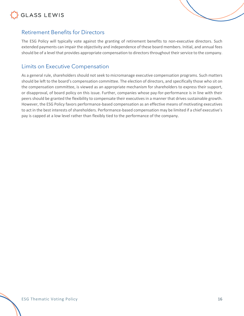### GLASS LEWIS



#### <span id="page-15-0"></span>Retirement Benefits for Directors

The ESG Policy will typically vote against the granting of retirement benefits to non-executive directors. Such extended payments can impair the objectivity and independence of these board members. Initial, and annual fees should be of a level that provides appropriate compensation to directors throughout their service to the company.

#### <span id="page-15-1"></span>Limits on Executive Compensation

As a general rule, shareholders should not seek to micromanage executive compensation programs. Such matters should be left to the board's compensation committee. The election of directors, and specifically those who sit on the compensation committee, is viewed as an appropriate mechanism for shareholders to express their support, or disapproval, of board policy on this issue. Further, companies whose pay-for-performance is in line with their peers should be granted the flexibility to compensate their executives in a manner that drives sustainable growth. However, the ESG Policy favors performance-based compensation as an effective means of motivating executives to act in the best interests of shareholders. Performance-based compensation may be limited if a chief executive's pay is capped at a low level rather than flexibly tied to the performance of the company.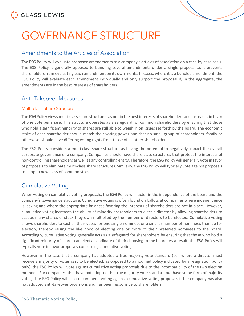

## <span id="page-16-0"></span>GOVERNANCE STRUCTURE

#### <span id="page-16-1"></span>Amendments to the Articles of Association

The ESG Policy will evaluate proposed amendments to a company's articles of association on a case-by-case basis. The ESG Policy is generally opposed to bundling several amendments under a single proposal as it prevents shareholders from evaluating each amendment on its own merits. In cases, where it is a bundled amendment, the ESG Policy will evaluate each amendment individually and only support the proposal if, in the aggregate, the amendments are in the best interests of shareholders.

#### <span id="page-16-2"></span>Anti-Takeover Measures

#### <span id="page-16-3"></span>Multi-class Share Structure

The ESG Policy views multi-class share structures as not in the best interests of shareholders and instead is in favor of one vote per share. This structure operates as a safeguard for common shareholders by ensuring that those who hold a significant minority of shares are still able to weigh in on issues set forth by the board. The economic stake of each shareholder should match their voting power and that no small group of shareholders, family or otherwise, should have differing voting rights from those of all other shareholders.

The ESG Policy considers a multi-class share structure as having the potential to negatively impact the overall corporate governance of a company. Companies should have share class structures that protect the interests of non-controlling shareholders as well as any controlling entity. Therefore, the ESG Policy will generally vote in favor of proposals to eliminate multi-class share structures. Similarly, the ESG Policy will typically vote against proposals to adopt a new class of common stock.

#### <span id="page-16-4"></span>Cumulative Voting

When voting on cumulative voting proposals, the ESG Policy will factor in the independence of the board and the company's governance structure. Cumulative voting is often found on ballots at companies where independence is lacking and where the appropriate balances favoring the interests of shareholders are not in place. However, cumulative voting increases the ability of minority shareholders to elect a director by allowing shareholders to cast as many shares of stock they own multiplied by the number of directors to be elected. Cumulative voting allows shareholders to cast all their votes for one single nominee, or a smaller number of nominees than up for election, thereby raising the likelihood of electing one or more of their preferred nominees to the board. Accordingly, cumulative voting generally acts as a safeguard for shareholders by ensuring that those who hold a significant minority of shares can elect a candidate of their choosing to the board. As a result, the ESG Policy will typically vote in favor proposals concerning cumulative voting.

However, in the case that a company has adopted a true majority vote standard (i.e., where a director must receive a majority of votes cast to be elected, as opposed to a modified policy indicated by a resignation policy only), the ESG Policy will vote against cumulative voting proposals due to the incompatibility of the two election methods. For companies, that have not adopted the true majority vote standard but have some form of majority voting, the ESG Policy will also recommend voting against cumulative voting proposals if the company has also not adopted anti-takeover provisions and has been responsive to shareholders.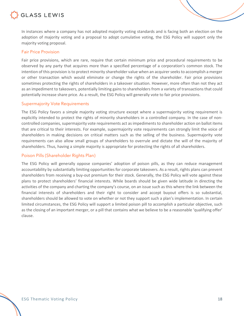

In instances where a company has not adopted majority voting standards and is facing both an election on the adoption of majority voting and a proposal to adopt cumulative voting, the ESG Policy will support only the majority voting proposal.

#### <span id="page-17-0"></span>Fair Price Provision

Fair price provisions, which are rare, require that certain minimum price and procedural requirements to be observed by any party that acquires more than a specified percentage of a corporation's common stock. The intention of this provision is to protect minority shareholder value when an acquirer seeks to accomplish a merger or other transaction which would eliminate or change the rights of the shareholder. Fair price provisions sometimes protecting the rights of shareholders in a takeover situation. However, more often than not they act as an impediment to takeovers, potentially limiting gains to shareholders from a variety of transactions that could potentially increase share price. As a result, the ESG Policy will generally vote to fair price provisions.

#### <span id="page-17-1"></span>Supermajority Vote Requirements

The ESG Policy favors a simple majority voting structure except where a supermajority voting requirement is explicitly intended to protect the rights of minority shareholders in a controlled company. In the case of noncontrolled companies, supermajority vote requirements act as impediments to shareholder action on ballot items that are critical to their interests. For example, supermajority vote requirements can strongly limit the voice of shareholders in making decisions on critical matters such as the selling of the business. Supermajority vote requirements can also allow small groups of shareholders to overrule and dictate the will of the majority of shareholders. Thus, having a simple majority is appropriate for protecting the rights of all shareholders.

#### <span id="page-17-2"></span>Poison Pills (Shareholder Rights Plan)

The ESG Policy will generally oppose companies' adoption of poison pills, as they can reduce management accountability by substantially limiting opportunities for corporate takeovers. As a result, rights plans can prevent shareholders from receiving a buy-out premium for their stock. Generally, the ESG Policy will vote against these plans to protect shareholders' financial interests. While boards should be given wide latitude in directing the activities of the company and charting the company's course, on an issue such as this where the link between the financial interests of shareholders and their right to consider and accept buyout offers is so substantial, shareholders should be allowed to vote on whether or not they support such a plan's implementation. In certain limited circumstances, the ESG Policy will support a limited poison pill to accomplish a particular objective, such as the closing of an important merger, or a pill that contains what we believe to be a reasonable 'qualifying offer' clause.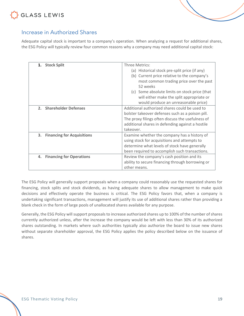### GLASS LEWIS

<span id="page-18-0"></span>

Adequate capital stock is important to a company's operation. When analyzing a request for additional shares, the ESG Policy will typically review four common reasons why a company may need additional capital stock:

| 1. Stock Split                          | Three Metrics:                                    |  |
|-----------------------------------------|---------------------------------------------------|--|
|                                         | (a) Historical stock pre-split price (if any)     |  |
|                                         | (b) Current price relative to the company's       |  |
|                                         | most common trading price over the past           |  |
|                                         | 52 weeks                                          |  |
|                                         | (c) Some absolute limits on stock price (that     |  |
|                                         | will either make the split appropriate or         |  |
|                                         | would produce an unreasonable price)              |  |
| 2. Shareholder Defenses                 | Additional authorized shares could be used to     |  |
|                                         | bolster takeover defenses such as a poison pill.  |  |
|                                         | The proxy filings often discuss the usefulness of |  |
|                                         | additional shares in defending against a hostile  |  |
|                                         | takeover.                                         |  |
| 3.<br><b>Financing for Acquisitions</b> | Examine whether the company has a history of      |  |
|                                         | using stock for acquisitions and attempts to      |  |
|                                         | determine what levels of stock have generally     |  |
|                                         | been required to accomplish such transactions.    |  |
| <b>Financing for Operations</b><br>4.   | Review the company's cash position and its        |  |
|                                         | ability to secure financing through borrowing or  |  |
|                                         | other means.                                      |  |

The ESG Policy will generally support proposals when a company could reasonably use the requested shares for financing, stock splits and stock dividends, as having adequate shares to allow management to make quick decisions and effectively operate the business is critical. The ESG Policy favors that, when a company is undertaking significant transactions, management will justify its use of additional shares rather than providing a blank check in the form of large pools of unallocated shares available for any purpose.

Generally, the ESG Policy will support proposals to increase authorized shares up to 100% of the number of shares currently authorized unless, after the increase the company would be left with less than 30% of its authorized shares outstanding. In markets where such authorities typically also authorize the board to issue new shares without separate shareholder approval, the ESG Policy applies the policy described below on the issuance of shares.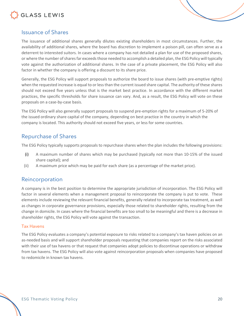

#### <span id="page-19-0"></span>Issuance of Shares

The issuance of additional shares generally dilutes existing shareholders in most circumstances. Further, the availability of additional shares, where the board has discretion to implement a poison pill, can often serve as a deterrent to interested suitors. In cases where a company has not detailed a plan for use of the proposed shares, or where the number of shares far exceeds those needed to accomplish a detailed plan, the ESG Policy will typically vote against the authorization of additional shares. In the case of a private placement, the ESG Policy will also factor in whether the company is offering a discount to its share price.

Generally, the ESG Policy will support proposals to authorize the board to issue shares (with pre-emptive rights) when the requested increase is equal to or less than the current issued share capital. The authority of these shares should not exceed five years unless that is the market best practice. In accordance with the different market practices, the specific thresholds for share issuance can vary. And, as a result, the ESG Policy will vote on these proposals on a case-by-case basis.

The ESG Policy will also generally support proposals to suspend pre-emption rights for a maximum of 5-20% of the issued ordinary share capital of the company, depending on best practice in the country in which the company is located. This authority should not exceed five years, or less for some countries.

#### <span id="page-19-1"></span>Repurchase of Shares

The ESG Policy typically supports proposals to repurchase shares when the plan includes the following provisions:

- (i) A maximum number of shares which may be purchased (typically not more than 10-15% of the issued share capital); and
- (ii) A maximum price which may be paid for each share (as a percentage of the market price).

#### <span id="page-19-2"></span>Reincorporation

A company is in the best position to determine the appropriate jurisdiction of incorporation. The ESG Policy will factor in several elements when a management proposal to reincorporate the company is put to vote. These elements include reviewing the relevant financial benefits, generally related to incorporate tax treatment, as well as changes in corporate governance provisions, especially those related to shareholder rights, resulting from the change in domicile. In cases where the financial benefits are too small to be meaningful and there is a decrease in shareholder rights, the ESG Policy will vote against the transaction.

#### <span id="page-19-3"></span>Tax Havens

The ESG Policy evaluates a company's potential exposure to risks related to a company's tax haven policies on an as-needed basis and will support shareholder proposals requesting that companies report on the risks associated with their use of tax havens or that request that companies adopt policies to discontinue operations or withdraw from tax havens. The ESG Policy will also vote against reincorporation proposals when companies have proposed to redomicile in known tax havens.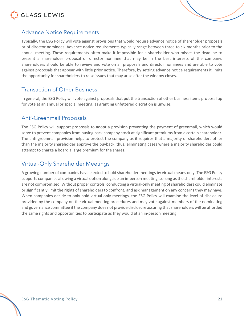

<span id="page-20-0"></span>

Typically, the ESG Policy will vote against provisions that would require advance notice of shareholder proposals or of director nominees. Advance notice requirements typically range between three to six months prior to the annual meeting. These requirements often make it impossible for a shareholder who misses the deadline to present a shareholder proposal or director nominee that may be in the best interests of the company. Shareholders should be able to review and vote on all proposals and director nominees and are able to vote against proposals that appear with little prior notice. Therefore, by setting advance notice requirements it limits the opportunity for shareholders to raise issues that may arise after the window closes.

#### <span id="page-20-1"></span>Transaction of Other Business

In general, the ESG Policy will vote against proposals that put the transaction of other business items proposal up for vote at an annual or special meeting, as granting unfettered discretion is unwise.

#### <span id="page-20-2"></span>Anti-Greenmail Proposals

The ESG Policy will support proposals to adopt a provision preventing the payment of greenmail, which would serve to prevent companies from buying back company stock at significant premiums from a certain shareholder. The anti-greenmail provision helps to protect the company as it requires that a majority of shareholders other than the majority shareholder approve the buyback, thus, eliminating cases where a majority shareholder could attempt to charge a board a large premium for the shares.

#### <span id="page-20-3"></span>Virtual-Only Shareholder Meetings

A growing number of companies have elected to hold shareholder meetings by virtual means only. The ESG Policy supports companies allowing a virtual option alongside an in-person meeting, so long as the shareholder interests are not compromised. Without proper controls, conducting a virtual-only meeting of shareholders could eliminate or significantly limit the rights of shareholders to confront, and ask management on any concerns they may have. When companies decide to only hold virtual-only meetings, the ESG Policy will examine the level of disclosure provided by the company on the virtual meeting procedures and may vote against members of the nominating and governance committee if the company does not provide disclosure assuring that shareholders will be afforded the same rights and opportunities to participate as they would at an in-person meeting.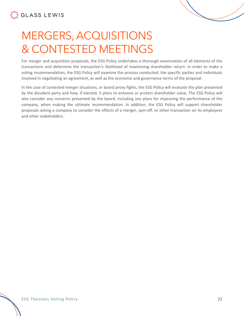# <span id="page-21-0"></span>MERGERS, ACQUISITIONS & CONTESTED MEETINGS

For merger and acquisition proposals, the ESG Policy undertakes a thorough examination of all elements of the transactions and determine the transaction's likelihood of maximizing shareholder return. In order to make a voting recommendation, the ESG Policy will examine the process conducted, the specific parties and individuals involved in negotiating an agreement, as well as the economic and governance terms of the proposal.

In the case of contested merger situations, or board proxy fights, the ESG Policy will evaluate the plan presented by the dissident party and how, if elected, it plans to enhance or protect shareholder value. The ESG Policy will also consider any concerns presented by the board, including any plans for improving the performance of the company, when making the ultimate recommendation. In addition, the ESG Policy will support shareholder proposals asking a company to consider the effects of a merger, spin-off, or other transaction on its employees and other stakeholders.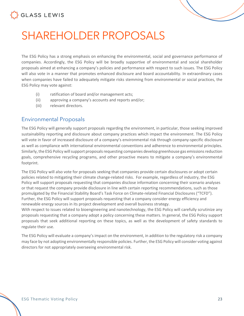

## <span id="page-22-0"></span>SHAREHOLDER PROPOSALS

The ESG Policy has a strong emphasis on enhancing the environmental, social and governance performance of companies. Accordingly, the ESG Policy will be broadly supportive of environmental and social shareholder proposals aimed at enhancing a company's policies and performance with respect to such issues. The ESG Policy will also vote in a manner that promotes enhanced disclosure and board accountability. In extraordinary cases when companies have failed to adequately mitigate risks stemming from environmental or social practices, the ESG Policy may vote against:

- (i) ratification of board and/or management acts;
- (ii) approving a company's accounts and reports and/or;
- (iii) relevant directors.

#### <span id="page-22-1"></span>Environmental Proposals

The ESG Policy will generally support proposals regarding the environment, in particular, those seeking improved sustainability reporting and disclosure about company practices which impact the environment. The ESG Policy will vote in favor of increased disclosure of a company's environmental risk through company-specific disclosure as well as compliance with international environmental conventions and adherence to environmental principles. Similarly, the ESG Policy will support proposals requesting companies develop greenhouse gas emissions reduction goals, comprehensive recycling programs, and other proactive means to mitigate a company's environmental footprint.

The ESG Policy will also vote for proposals seeking that companies provide certain disclosures or adopt certain policies related to mitigating their climate change-related risks. For example, regardless of industry, the ESG Policy will support proposals requesting that companies disclose information concerning their scenario analyses or that request the company provide disclosure in line with certain reporting recommendations, such as those promulgated by the Financial Stability Board's Task Force on Climate-related Financial Disclosures ("TCFD"). Further, the ESG Policy will support proposals requesting that a company consider energy efficiency and renewable energy sources in its project development and overall business strategy.

With respect to issues related to bioengineering and nanotechnology, the ESG Policy will carefully scrutinize any proposals requesting that a company adopt a policy concerning these matters. In general, the ESG Policy support proposals that seek additional reporting on these topics, as well as the development of safety standards to regulate their use.

The ESG Policy will evaluate a company's impact on the environment, in addition to the regulatory risk a company may face by not adopting environmentally responsible policies. Further, the ESG Policy will consider voting against directors for not appropriately overseeing environmental risk.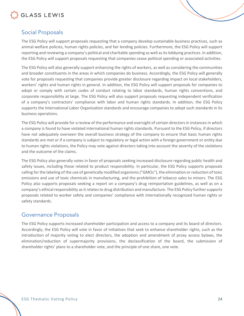

#### <span id="page-23-0"></span>Social Proposals

The ESG Policy will support proposals requesting that a company develop sustainable business practices, such as animal welfare policies, human rights policies, and fair lending policies. Furthermore, the ESG Policy will support reporting and reviewing a company's political and charitable spending as well as its lobbying practices. In addition, the ESG Policy will support proposals requesting that companies cease political spending or associated activities.

The ESG Policy will also generally support enhancing the rights of workers, as well as considering the communities and broader constituents in the areas in which companies do business. Accordingly, the ESG Policy will generally vote for proposals requesting that companies provide greater disclosure regarding impact on local stakeholders, workers' rights and human rights in general. In addition, the ESG Policy will support proposals for companies to adopt or comply with certain codes of conduct relating to labor standards, human rights conventions, and corporate responsibility at large. The ESG Policy will also support proposals requesting independent verification of a company's contractors' compliance with labor and human rights standards. In addition, the ESG Policy supports the International Labor Organization standards and encourage companies to adopt such standards in its business operations.

The ESG Policy will provide for a review of the performance and oversight of certain directors in instances in which a company is found to have violated international human rights standards. Pursuant to the ESG Policy, if directors have not adequately overseen the overall business strategy of the company to ensure that basic human rights standards are met or if a company is subject to regulatory or legal action with a foreign government or entity due to human rights violations, the Policy may vote against directors taking into account the severity of the violations and the outcome of the claims.

The ESG Policy also generally votes in favor of proposals seeking increased disclosure regarding public health and safety issues, including those related to product responsibility. In particular, the ESG Policy supports proposals calling for the labeling of the use of genetically modified organisms ("GMOs"), the elimination or reduction of toxic emissions and use of toxic chemicals in manufacturing, and the prohibition of tobacco sales to minors. The ESG Policy also supports proposals seeking a report on a company's drug reimportation guidelines, as well as on a company's ethical responsibility as it relates to drug distribution and manufacture. The ESG Policy further supports proposals related to worker safety and companies' compliance with internationally recognized human rights or safety standards.

#### <span id="page-23-1"></span>Governance Proposals

The ESG Policy supports increased shareholder participation and access to a company and its board of directors. Accordingly, the ESG Policy will vote in favor of initiatives that seek to enhance shareholder rights, such as the introduction of majority voting to elect directors, the adoption and amendment of proxy access bylaws, the elimination/reduction of supermajority provisions, the declassification of the board, the submission of shareholder rights' plans to a shareholder vote, and the principle of one share, one vote.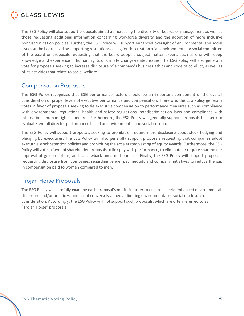

The ESG Policy will also support proposals aimed at increasing the diversity of boards or management as well as those requesting additional information concerning workforce diversity and the adoption of more inclusive nondiscrimination policies. Further, the ESG Policy will support enhanced oversight of environmental and social issues at the board level by supporting resolutions calling for the creation of an environmental or social committee of the board or proposals requesting that the board adopt a subject-matter expert, such as one with deep knowledge and experience in human rights or climate change-related issues. The ESG Policy will also generally vote for proposals seeking to increase disclosure of a company's business ethics and code of conduct, as well as of its activities that relate to social welfare.

#### <span id="page-24-0"></span>Compensation Proposals

The ESG Policy recognizes that ESG performance factors should be an important component of the overall consideration of proper levels of executive performance and compensation. Therefore, the ESG Policy generally votes in favor of proposals seeking to tie executive compensation to performance measures such as compliance with environmental regulations, health and safety regulations, nondiscrimination laws and compliance with international human rights standards. Furthermore, the ESG Policy will generally support proposals that seek to evaluate overall director performance based on environmental and social criteria.

The ESG Policy will support proposals seeking to prohibit or require more disclosure about stock hedging and pledging by executives. The ESG Policy will also generally support proposals requesting that companies adopt executive stock retention policies and prohibiting the accelerated vesting of equity awards. Furthermore, the ESG Policy will vote in favor of shareholder proposals to link pay with performance, to eliminate or require shareholder approval of golden coffins, and to clawback unearned bonuses. Finally, the ESG Policy will support proposals requesting disclosure from companies regarding gender pay inequity and company initiatives to reduce the gap in compensation paid to women compared to men.

#### <span id="page-24-1"></span>Trojan Horse Proposals

The ESG Policy will carefully examine each proposal's merits in order to ensure it seeks enhanced environmental disclosure and/or practices, and is not conversely aimed at limiting environmental or social disclosure or consideration. Accordingly, the ESG Policy will not support such proposals, which are often referred to as "Trojan Horse" proposals.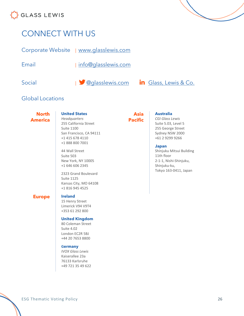

### <span id="page-25-0"></span>CONNECT WITH US

Corporate Website | [www.glasslewis.com](http://www.glasslewis.com/)

Email | [info@glasslewis.com](mailto:%20info@glasslewis.com)



#### Global Locations

**North America**

#### **United States**

*Headquarters* 255 California Street Suite 1100 San Francisco, CA 94111 +1 415 678 4110 +1 888 800 7001

44 Wall Street Suite 503 New York, NY 10005 +1 646 606 2345

2323 Grand Boulevard Suite 1125 Kansas City, MO 64108 +1 816 945 4525

#### **Europe Ireland**

15 Henry Street Limerick V94 V9T4 +353 61 292 800

#### **United Kingdom**

80 Coleman Street Suite 4.02 London EC2R 5BJ +44 20 7653 8800

#### **Germany**

*IVOX Glass Lewis* Kaiserallee 23a 76133 Karlsruhe +49 721 35 49 622

#### **Asia Pacific**

#### **Australia**

*CGI Glass Lewis* Suite 5.03, Level 5 255 George Street Sydney NSW 2000 +61 2 9299 9266

#### **Japan**

Shinjuku Mitsui Building 11th floor 2-1-1, Nishi-Shinjuku, Shinjuku-ku, Tokyo 163-0411, Japan